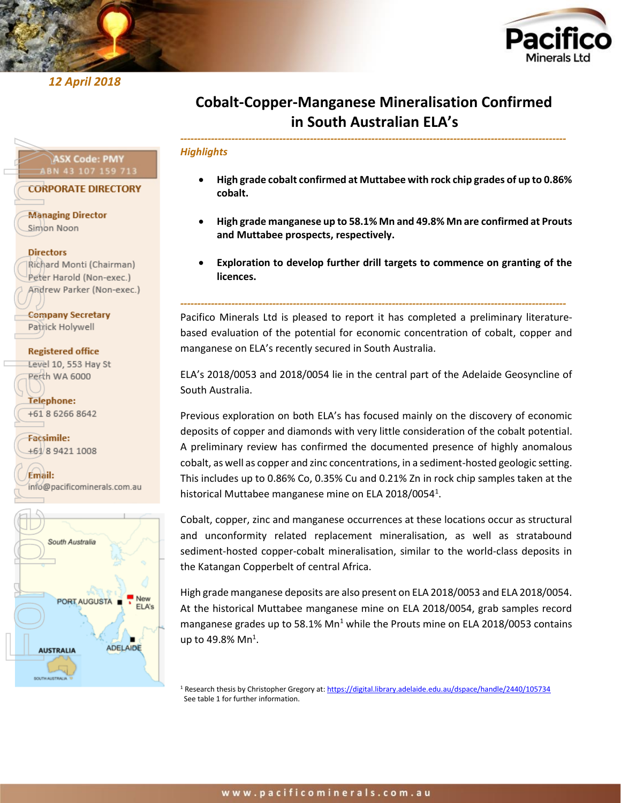

*12 April 2018* 



# **Cobalt-Copper-Manganese Mineralisation Confirmed in South Australian ELA's**

*-----------------------------------------------------------------------------------------------------------------*

#### *Highlights*

- **High grade cobalt confirmed at Muttabee with rock chip grades of up to 0.86% cobalt.**
- **High grade manganese up to 58.1% Mn and 49.8% Mn are confirmed at Prouts and Muttabee prospects, respectively.**
- **Exploration to develop further drill targets to commence on granting of the licences.**

Pacifico Minerals Ltd is pleased to report it has completed a preliminary literaturebased evaluation of the potential for economic concentration of cobalt, copper and manganese on ELA's recently secured in South Australia.

*-----------------------------------------------------------------------------------------------------------------*

ELA's 2018/0053 and 2018/0054 lie in the central part of the Adelaide Geosyncline of South Australia.

Previous exploration on both ELA's has focused mainly on the discovery of economic deposits of copper and diamonds with very little consideration of the cobalt potential. A preliminary review has confirmed the documented presence of highly anomalous cobalt, as well as copper and zinc concentrations, in a sediment-hosted geologic setting. This includes up to 0.86% Co, 0.35% Cu and 0.21% Zn in rock chip samples taken at the historical Muttabee manganese mine on ELA 2018/0054<sup>1</sup>.

Cobalt, copper, zinc and manganese occurrences at these locations occur as structural and unconformity related replacement mineralisation, as well as stratabound sediment-hosted copper-cobalt mineralisation, similar to the world-class deposits in the Katangan Copperbelt of central Africa.

High grade manganese deposits are also present on ELA 2018/0053 and ELA 2018/0054. At the historical Muttabee manganese mine on ELA 2018/0054, grab samples record manganese grades up to 58.1% Mn<sup>1</sup> while the Prouts mine on ELA 2018/0053 contains up to 49.8% Mn $^1$ .

<sup>1</sup> Research thesis by Christopher Gregory at[: https://digital.library.adelaide.edu.au/dspace/handle/2440/105734](https://digital.library.adelaide.edu.au/dspace/handle/2440/105734) See table 1 for further information.

# **ASX Code: PMY ABN 43 107 159 713**

**CORPORATE DIRECTORY** 

**Managing Director** Simon Noon

#### **Directors**

Richard Monti (Chairman) Peter Harold (Non-exec.) Andrew Parker (Non-exec.)

**Company Secretary** Patrick Holywell

### **Registered office** Level 10, 553 Hay St Perth WA 6000

Telephone: +61 8 6266 8642

**Facsimile:** +61/8 9421 1008

Email: info@pacificominerals.com.au

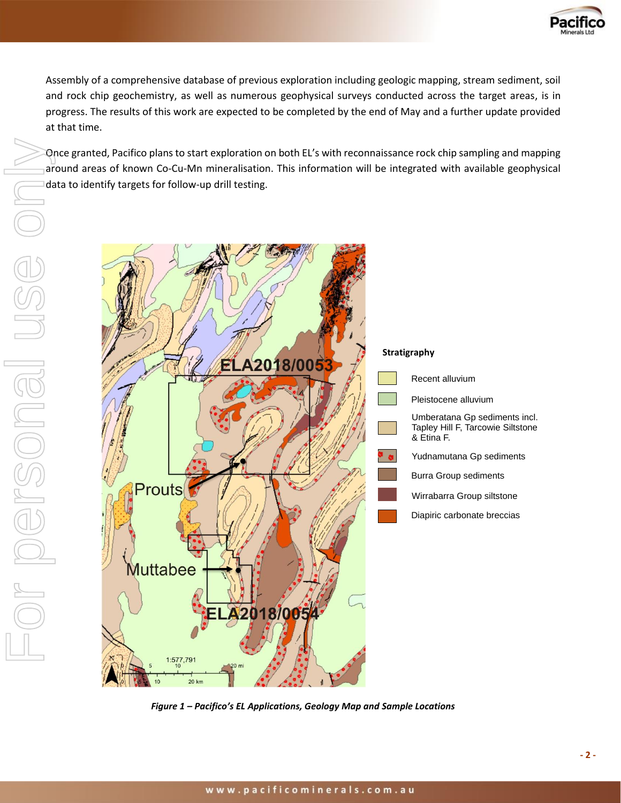

Assembly of a comprehensive database of previous exploration including geologic mapping, stream sediment, soil and rock chip geochemistry, as well as numerous geophysical surveys conducted across the target areas, is in progress. The results of this work are expected to be completed by the end of May and a further update provided at that time.

Once granted, Pacifico plans to start exploration on both EL's with reconnaissance rock chip sampling and mapping around areas of known Co-Cu-Mn mineralisation. This information will be integrated with available geophysical data to identify targets for follow-up drill testing.



*Figure 1 – Pacifico's EL Applications, Geology Map and Sample Locations*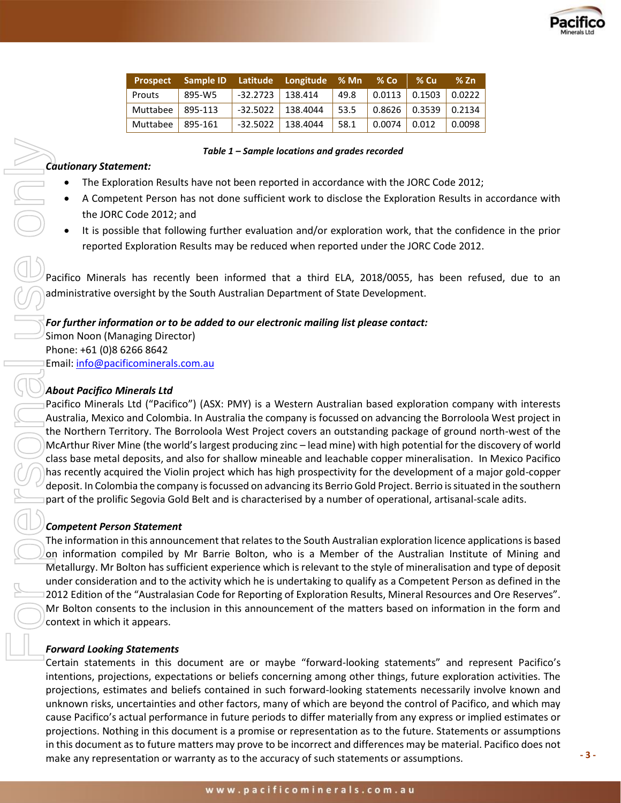

| <b>Prospect</b> |            |                      | Sample ID Latitude Longitude % Mn |      | $%$ Co | $%$ Cu                                       | $%$ Zn |
|-----------------|------------|----------------------|-----------------------------------|------|--------|----------------------------------------------|--------|
| Prouts          | 895-W5     | $-32.2723$   138.414 |                                   | 49.8 |        | $\vert$ 0.0113 $\vert$ 0.1503 $\vert$ 0.0222 |        |
| Muttabee        | $ 895-113$ | $-32.5022$           | 138.4044                          | 53.5 |        | $0.8626$ 0.3539 0.2134                       |        |
| Muttabee        | $ 895-161$ | $-32.5022$           | 138.4044                          | 58.1 | 0.0074 | 0.012                                        | 0.0098 |

*Table 1 – Sample locations and grades recorded*

# *Cautionary Statement:*

- The Exploration Results have not been reported in accordance with the JORC Code 2012;
- A Competent Person has not done sufficient work to disclose the Exploration Results in accordance with the JORC Code 2012; and
- It is possible that following further evaluation and/or exploration work, that the confidence in the prior reported Exploration Results may be reduced when reported under the JORC Code 2012.

Pacifico Minerals has recently been informed that a third ELA, 2018/0055, has been refused, due to an administrative oversight by the South Australian Department of State Development.

### *For further information or to be added to our electronic mailing list please contact:*

Simon Noon (Managing Director) Phone: +61 (0)8 6266 8642 Email: [info@pacificominerals.com.au](mailto:info@pacificominerals.com.au)

## *About Pacifico Minerals Ltd*

Pacifico Minerals Ltd ("Pacifico") (ASX: PMY) is a Western Australian based exploration company with interests Australia, Mexico and Colombia. In Australia the company is focussed on advancing the Borroloola West project in the Northern Territory. The Borroloola West Project covers an outstanding package of ground north-west of the McArthur River Mine (the world's largest producing zinc – lead mine) with high potential for the discovery of world class base metal deposits, and also for shallow mineable and leachable copper mineralisation. In Mexico Pacifico has recently acquired the Violin project which has high prospectivity for the development of a major gold-copper deposit. In Colombia the company is focussed on advancing its Berrio Gold Project. Berrio is situated in the southern part of the prolific Segovia Gold Belt and is characterised by a number of operational, artisanal-scale adits. make beach any representation or which is a consideration or which is a consideration or which is a particle or which consider the consideration or which is a particle or the accuracy of such statements or as to the statem

### *Competent Person Statement*

The information in this announcement that relates to the South Australian exploration licence applications is based on information compiled by Mr Barrie Bolton, who is a Member of the Australian Institute of Mining and Metallurgy. Mr Bolton has sufficient experience which is relevant to the style of mineralisation and type of deposit under consideration and to the activity which he is undertaking to qualify as a Competent Person as defined in the 2012 Edition of the "Australasian Code for Reporting of Exploration Results, Mineral Resources and Ore Reserves". Mr Bolton consents to the inclusion in this announcement of the matters based on information in the form and context in which it appears.

### *Forward Looking Statements*

Certain statements in this document are or maybe "forward-looking statements" and represent Pacifico's intentions, projections, expectations or beliefs concerning among other things, future exploration activities. The projections, estimates and beliefs contained in such forward-looking statements necessarily involve known and unknown risks, uncertainties and other factors, many of which are beyond the control of Pacifico, and which may cause Pacifico's actual performance in future periods to differ materially from any express or implied estimates or projections. Nothing in this document is a promise or representation as to the future. Statements or assumptions in this document as to future matters may prove to be incorrect and differences may be material. Pacifico does not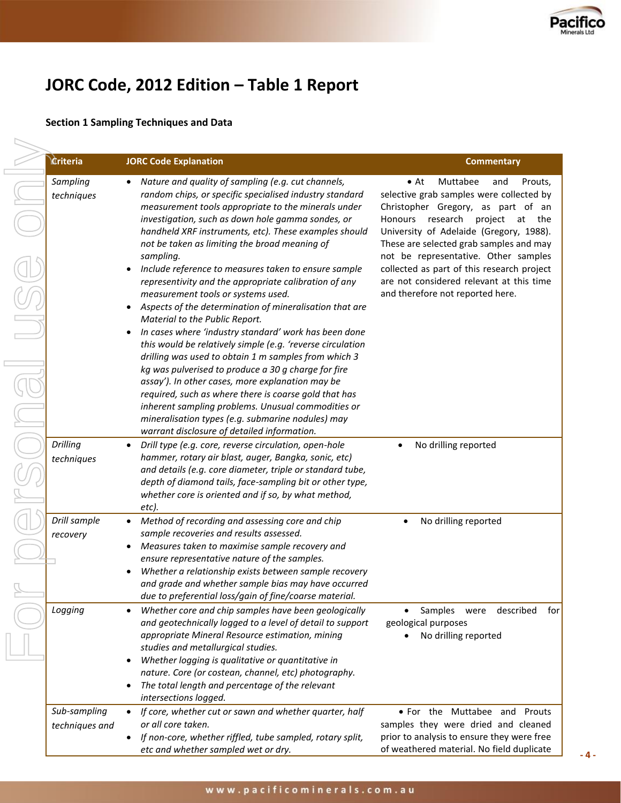

# **JORC Code, 2012 Edition – Table 1 Report**

# **Section 1 Sampling Techniques and Data**

| <b>Ériteria</b>                | <b>JORC Code Explanation</b>                                                                                                                                                                                                                                                                                                                                                                                                                                                                                                                                                                                                                                                                                                                                                                                                                                                                                                                                                                                                                                                                                                          | <b>Commentary</b>                                                                                                                                                                                                                                                                                                                                                                                                                    |
|--------------------------------|---------------------------------------------------------------------------------------------------------------------------------------------------------------------------------------------------------------------------------------------------------------------------------------------------------------------------------------------------------------------------------------------------------------------------------------------------------------------------------------------------------------------------------------------------------------------------------------------------------------------------------------------------------------------------------------------------------------------------------------------------------------------------------------------------------------------------------------------------------------------------------------------------------------------------------------------------------------------------------------------------------------------------------------------------------------------------------------------------------------------------------------|--------------------------------------------------------------------------------------------------------------------------------------------------------------------------------------------------------------------------------------------------------------------------------------------------------------------------------------------------------------------------------------------------------------------------------------|
| Sampling<br>techniques         | • Nature and quality of sampling (e.g. cut channels,<br>random chips, or specific specialised industry standard<br>measurement tools appropriate to the minerals under<br>investigation, such as down hole gamma sondes, or<br>handheld XRF instruments, etc). These examples should<br>not be taken as limiting the broad meaning of<br>sampling.<br>Include reference to measures taken to ensure sample<br>$\bullet$<br>representivity and the appropriate calibration of any<br>measurement tools or systems used.<br>Aspects of the determination of mineralisation that are<br>Material to the Public Report.<br>In cases where 'industry standard' work has been done<br>٠<br>this would be relatively simple (e.g. 'reverse circulation<br>drilling was used to obtain 1 m samples from which 3<br>kg was pulverised to produce a 30 g charge for fire<br>assay'). In other cases, more explanation may be<br>required, such as where there is coarse gold that has<br>inherent sampling problems. Unusual commodities or<br>mineralisation types (e.g. submarine nodules) may<br>warrant disclosure of detailed information. | Muttabee<br>Prouts,<br>$\bullet$ At<br>and<br>selective grab samples were collected by<br>Christopher Gregory, as part of an<br>Honours research<br>project<br>at<br>the<br>University of Adelaide (Gregory, 1988).<br>These are selected grab samples and may<br>not be representative. Other samples<br>collected as part of this research project<br>are not considered relevant at this time<br>and therefore not reported here. |
| Drilling<br>techniques         | Drill type (e.g. core, reverse circulation, open-hole<br>$\bullet$<br>hammer, rotary air blast, auger, Bangka, sonic, etc)<br>and details (e.g. core diameter, triple or standard tube,<br>depth of diamond tails, face-sampling bit or other type,<br>whether core is oriented and if so, by what method,<br>etc).                                                                                                                                                                                                                                                                                                                                                                                                                                                                                                                                                                                                                                                                                                                                                                                                                   | No drilling reported<br>$\bullet$                                                                                                                                                                                                                                                                                                                                                                                                    |
| Drill sample<br>recovery       | Method of recording and assessing core and chip<br>$\bullet$<br>sample recoveries and results assessed.<br>Measures taken to maximise sample recovery and<br>٠<br>ensure representative nature of the samples.<br>Whether a relationship exists between sample recovery<br>and grade and whether sample bias may have occurred<br>due to preferential loss/gain of fine/coarse material.                                                                                                                                                                                                                                                                                                                                                                                                                                                                                                                                                                                                                                                                                                                                              | No drilling reported<br>٠                                                                                                                                                                                                                                                                                                                                                                                                            |
| Logging                        | Whether core and chip samples have been geologically<br>$\bullet$<br>and geotechnically logged to a level of detail to support<br>appropriate Mineral Resource estimation, mining<br>studies and metallurgical studies.<br>Whether logging is qualitative or quantitative in<br>٠<br>nature. Core (or costean, channel, etc) photography.<br>The total length and percentage of the relevant<br>٠<br>intersections logged.                                                                                                                                                                                                                                                                                                                                                                                                                                                                                                                                                                                                                                                                                                            | Samples<br>described<br>for<br>were<br>geological purposes<br>No drilling reported                                                                                                                                                                                                                                                                                                                                                   |
| Sub-sampling<br>techniques and | If core, whether cut or sawn and whether quarter, half<br>$\bullet$<br>or all core taken.<br>If non-core, whether riffled, tube sampled, rotary split,<br>$\bullet$<br>etc and whether sampled wet or dry.                                                                                                                                                                                                                                                                                                                                                                                                                                                                                                                                                                                                                                                                                                                                                                                                                                                                                                                            | • For the Muttabee and Prouts<br>samples they were dried and cleaned<br>prior to analysis to ensure they were free<br>of weathered material. No field duplicate                                                                                                                                                                                                                                                                      |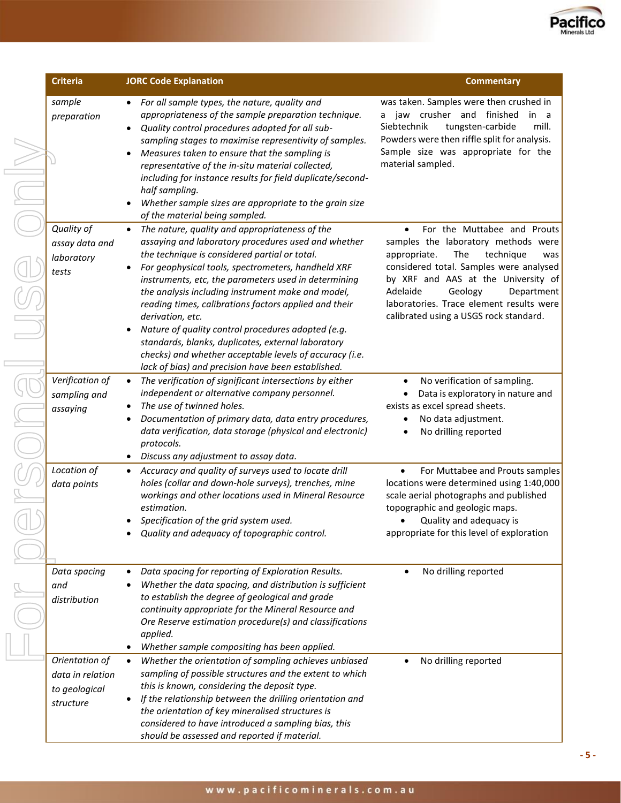

| <b>Criteria</b>                                                  | <b>JORC Code Explanation</b>                                                                                                                                                                                                                                                                                                                                                                                                                                                                                                                                                                                                                     | <b>Commentary</b>                                                                                                                                                                                                                                                                                                                       |  |
|------------------------------------------------------------------|--------------------------------------------------------------------------------------------------------------------------------------------------------------------------------------------------------------------------------------------------------------------------------------------------------------------------------------------------------------------------------------------------------------------------------------------------------------------------------------------------------------------------------------------------------------------------------------------------------------------------------------------------|-----------------------------------------------------------------------------------------------------------------------------------------------------------------------------------------------------------------------------------------------------------------------------------------------------------------------------------------|--|
| sample<br>preparation                                            | For all sample types, the nature, quality and<br>appropriateness of the sample preparation technique.<br>Quality control procedures adopted for all sub-<br>$\bullet$<br>sampling stages to maximise representivity of samples.<br>Measures taken to ensure that the sampling is<br>$\bullet$<br>representative of the in-situ material collected,<br>including for instance results for field duplicate/second-<br>half sampling.<br>Whether sample sizes are appropriate to the grain size<br>of the material being sampled.                                                                                                                   | was taken. Samples were then crushed in<br>a jaw crusher and finished<br>in a<br>Siebtechnik<br>tungsten-carbide<br>mill.<br>Powders were then riffle split for analysis.<br>Sample size was appropriate for the<br>material sampled.                                                                                                   |  |
| Quality of<br>assay data and<br>laboratory<br>tests              | The nature, quality and appropriateness of the<br>$\bullet$<br>assaying and laboratory procedures used and whether<br>the technique is considered partial or total.<br>For geophysical tools, spectrometers, handheld XRF<br>instruments, etc, the parameters used in determining<br>the analysis including instrument make and model,<br>reading times, calibrations factors applied and their<br>derivation, etc.<br>Nature of quality control procedures adopted (e.g.<br>standards, blanks, duplicates, external laboratory<br>checks) and whether acceptable levels of accuracy (i.e.<br>lack of bias) and precision have been established. | For the Muttabee and Prouts<br>$\bullet$<br>samples the laboratory methods were<br>The<br>technique<br>appropriate.<br>was<br>considered total. Samples were analysed<br>by XRF and AAS at the University of<br>Adelaide<br>Geology<br>Department<br>laboratories. Trace element results were<br>calibrated using a USGS rock standard. |  |
| Verification of<br>sampling and<br>assaying                      | The verification of significant intersections by either<br>$\bullet$<br>independent or alternative company personnel.<br>The use of twinned holes.<br>٠<br>Documentation of primary data, data entry procedures,<br>data verification, data storage (physical and electronic)<br>protocols.<br>Discuss any adjustment to assay data.<br>$\bullet$                                                                                                                                                                                                                                                                                                | No verification of sampling.<br>٠<br>Data is exploratory in nature and<br>$\bullet$<br>exists as excel spread sheets.<br>No data adjustment.<br>No drilling reported                                                                                                                                                                    |  |
| Location of<br>data points                                       | Accuracy and quality of surveys used to locate drill<br>$\bullet$<br>holes (collar and down-hole surveys), trenches, mine<br>workings and other locations used in Mineral Resource<br>estimation.<br>Specification of the grid system used.<br>Quality and adequacy of topographic control.                                                                                                                                                                                                                                                                                                                                                      | For Muttabee and Prouts samples<br>$\bullet$<br>locations were determined using 1:40,000<br>scale aerial photographs and published<br>topographic and geologic maps.<br>Quality and adequacy is<br>appropriate for this level of exploration                                                                                            |  |
| Data spacing<br>and<br>distribution                              | Data spacing for reporting of Exploration Results.<br>$\bullet$<br>Whether the data spacing, and distribution is sufficient<br>to establish the degree of geological and grade<br>continuity appropriate for the Mineral Resource and<br>Ore Reserve estimation procedure(s) and classifications<br>applied.<br>Whether sample compositing has been applied.<br>٠                                                                                                                                                                                                                                                                                | No drilling reported                                                                                                                                                                                                                                                                                                                    |  |
| Orientation of<br>data in relation<br>to geological<br>structure | Whether the orientation of sampling achieves unbiased<br>$\bullet$<br>sampling of possible structures and the extent to which<br>this is known, considering the deposit type.<br>If the relationship between the drilling orientation and<br>the orientation of key mineralised structures is<br>considered to have introduced a sampling bias, this<br>should be assessed and reported if material.                                                                                                                                                                                                                                             | No drilling reported                                                                                                                                                                                                                                                                                                                    |  |

**- 5 -**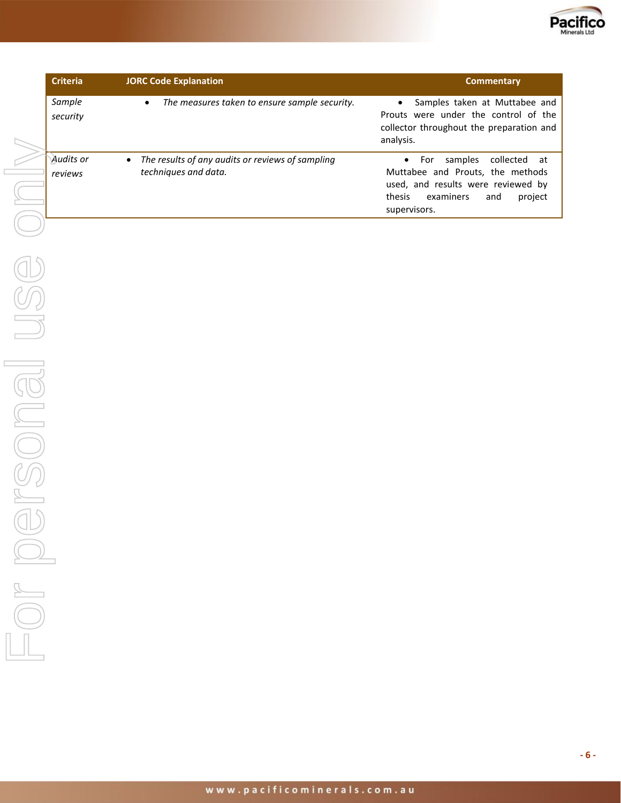

| <b>Criteria</b>      | <b>JORC Code Explanation</b>                                                          | <b>Commentary</b>                                                                                                                                                           |
|----------------------|---------------------------------------------------------------------------------------|-----------------------------------------------------------------------------------------------------------------------------------------------------------------------------|
| Sample<br>security   | The measures taken to ensure sample security.<br>$\bullet$                            | Samples taken at Muttabee and<br>Prouts were under the control of the<br>collector throughout the preparation and<br>analysis.                                              |
| Audits or<br>reviews | The results of any audits or reviews of sampling<br>$\bullet$<br>techniques and data. | collected at<br>$\bullet$ For<br>samples<br>Muttabee and Prouts, the methods<br>used, and results were reviewed by<br>thesis<br>examiners<br>project<br>and<br>supervisors. |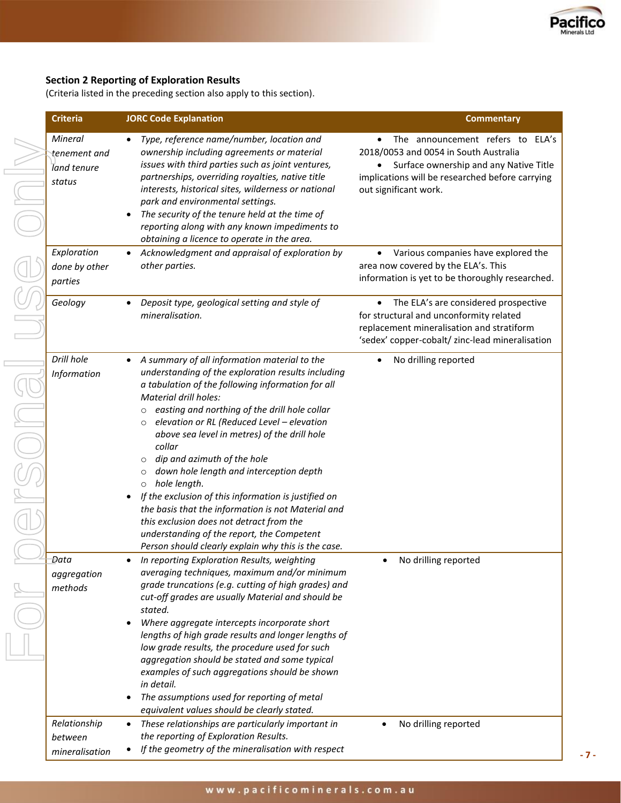

**- 7 -**

# **Section 2 Reporting of Exploration Results**

(Criteria listed in the preceding section also apply to this section).

| <b>Criteria</b>                                  | <b>JORC Code Explanation</b>                                                                                                                                                                                                                                                                                                                                                                                                                                                                                                                                                                                                                                                                                                                                           | <b>Commentary</b>                                                                                                                                                                                            |
|--------------------------------------------------|------------------------------------------------------------------------------------------------------------------------------------------------------------------------------------------------------------------------------------------------------------------------------------------------------------------------------------------------------------------------------------------------------------------------------------------------------------------------------------------------------------------------------------------------------------------------------------------------------------------------------------------------------------------------------------------------------------------------------------------------------------------------|--------------------------------------------------------------------------------------------------------------------------------------------------------------------------------------------------------------|
| Mineral<br>tenement and<br>land tenure<br>status | Type, reference name/number, location and<br>$\bullet$<br>ownership including agreements or material<br>issues with third parties such as joint ventures,<br>partnerships, overriding royalties, native title<br>interests, historical sites, wilderness or national<br>park and environmental settings.<br>The security of the tenure held at the time of<br>$\bullet$<br>reporting along with any known impediments to<br>obtaining a licence to operate in the area.                                                                                                                                                                                                                                                                                                | The announcement refers to ELA's<br>$\bullet$<br>2018/0053 and 0054 in South Australia<br>Surface ownership and any Native Title<br>implications will be researched before carrying<br>out significant work. |
| Exploration<br>done by other<br>parties          | Acknowledgment and appraisal of exploration by<br>$\bullet$<br>other parties.                                                                                                                                                                                                                                                                                                                                                                                                                                                                                                                                                                                                                                                                                          | Various companies have explored the<br>$\bullet$<br>area now covered by the ELA's. This<br>information is yet to be thoroughly researched.                                                                   |
| Geology                                          | Deposit type, geological setting and style of<br>$\bullet$<br>mineralisation.                                                                                                                                                                                                                                                                                                                                                                                                                                                                                                                                                                                                                                                                                          | The ELA's are considered prospective<br>$\bullet$<br>for structural and unconformity related<br>replacement mineralisation and stratiform<br>'sedex' copper-cobalt/ zinc-lead mineralisation                 |
| Drill hole<br>Information                        | A summary of all information material to the<br>understanding of the exploration results including<br>a tabulation of the following information for all<br>Material drill holes:<br>easting and northing of the drill hole collar<br>$\circ$<br>elevation or RL (Reduced Level - elevation<br>$\circ$<br>above sea level in metres) of the drill hole<br>collar<br>dip and azimuth of the hole<br>$\circ$<br>down hole length and interception depth<br>$\circ$<br>hole length.<br>$\circ$<br>If the exclusion of this information is justified on<br>$\bullet$<br>the basis that the information is not Material and<br>this exclusion does not detract from the<br>understanding of the report, the Competent<br>Person should clearly explain why this is the case. | No drilling reported<br>$\bullet$                                                                                                                                                                            |
| Data<br>aggregation<br>methods                   | In reporting Exploration Results, weighting<br>٠<br>averaging techniques, maximum and/or minimum<br>grade truncations (e.g. cutting of high grades) and<br>cut-off grades are usually Material and should be<br>stated.<br>Where aggregate intercepts incorporate short<br>$\bullet$<br>lengths of high grade results and longer lengths of<br>low grade results, the procedure used for such<br>aggregation should be stated and some typical<br>examples of such aggregations should be shown<br>in detail.<br>The assumptions used for reporting of metal<br>$\bullet$<br>equivalent values should be clearly stated.                                                                                                                                               | No drilling reported<br>$\bullet$                                                                                                                                                                            |
| Relationship<br>between<br>mineralisation        | These relationships are particularly important in<br>$\bullet$<br>the reporting of Exploration Results.<br>If the geometry of the mineralisation with respect                                                                                                                                                                                                                                                                                                                                                                                                                                                                                                                                                                                                          | No drilling reported                                                                                                                                                                                         |